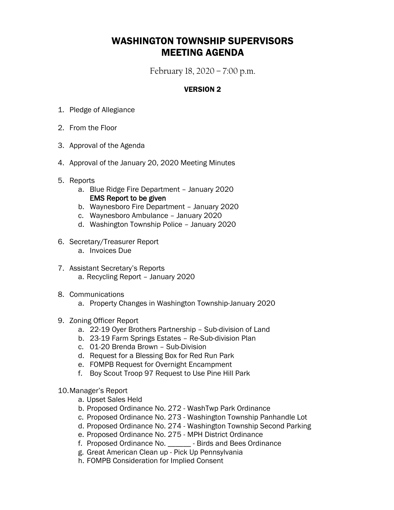## WASHINGTON TOWNSHIP SUPERVISORS MEETING AGENDA

February 18, 2020 – 7:00 p.m.

## VERSION 2

- 1. Pledge of Allegiance
- 2. From the Floor
- 3. Approval of the Agenda
- 4. Approval of the January 20, 2020 Meeting Minutes
- 5. Reports
	- a. Blue Ridge Fire Department January 2020 EMS Report to be given
	- b. Waynesboro Fire Department January 2020
	- c. Waynesboro Ambulance January 2020
	- d. Washington Township Police January 2020
- 6. Secretary/Treasurer Report
	- a. Invoices Due
- 7. Assistant Secretary's Reports a. Recycling Report – January 2020
- 8. Communications
	- a. Property Changes in Washington Township-January 2020
- 9. Zoning Officer Report
	- a. 22-19 Oyer Brothers Partnership Sub-division of Land
	- b. 23-19 Farm Springs Estates Re-Sub-division Plan
	- c. 01-20 Brenda Brown Sub-Division
	- d. Request for a Blessing Box for Red Run Park
	- e. FOMPB Request for Overnight Encampment
	- f. Boy Scout Troop 97 Request to Use Pine Hill Park
- 10.Manager's Report
	- a. Upset Sales Held
	- b. Proposed Ordinance No. 272 WashTwp Park Ordinance
	- c. Proposed Ordinance No. 273 Washington Township Panhandle Lot
	- d. Proposed Ordinance No. 274 Washington Township Second Parking
	- e. Proposed Ordinance No. 275 MPH District Ordinance
	- f. Proposed Ordinance No. \_\_\_\_\_\_ Birds and Bees Ordinance
	- g. Great American Clean up Pick Up Pennsylvania
	- h. FOMPB Consideration for Implied Consent